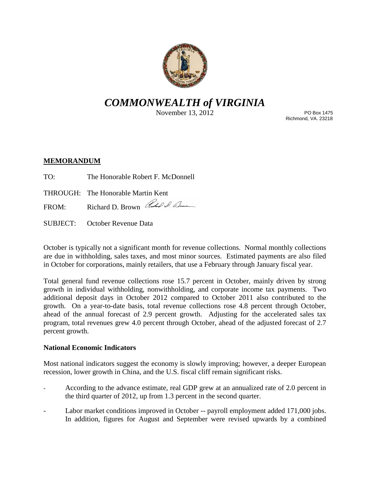

# *COMMONWEALTH of VIRGINIA*

November 13, 2012

PO Box 1475 Richmond, VA. 23218

## **MEMORANDUM**

- TO: The Honorable Robert F. McDonnell
- THROUGH: The Honorable Martin Kent

FROM: Richard D. Brown Richard D. Elm

SUBJECT: October Revenue Data

October is typically not a significant month for revenue collections. Normal monthly collections are due in withholding, sales taxes, and most minor sources. Estimated payments are also filed in October for corporations, mainly retailers, that use a February through January fiscal year.

Total general fund revenue collections rose 15.7 percent in October, mainly driven by strong growth in individual withholding, nonwithholding, and corporate income tax payments. Two additional deposit days in October 2012 compared to October 2011 also contributed to the growth. On a year-to-date basis, total revenue collections rose 4.8 percent through October, ahead of the annual forecast of 2.9 percent growth. Adjusting for the accelerated sales tax program, total revenues grew 4.0 percent through October, ahead of the adjusted forecast of 2.7 percent growth.

## **National Economic Indicators**

Most national indicators suggest the economy is slowly improving; however, a deeper European recession, lower growth in China, and the U.S. fiscal cliff remain significant risks.

- According to the advance estimate, real GDP grew at an annualized rate of 2.0 percent in the third quarter of 2012, up from 1.3 percent in the second quarter.
- Labor market conditions improved in October -- payroll employment added 171,000 jobs. In addition, figures for August and September were revised upwards by a combined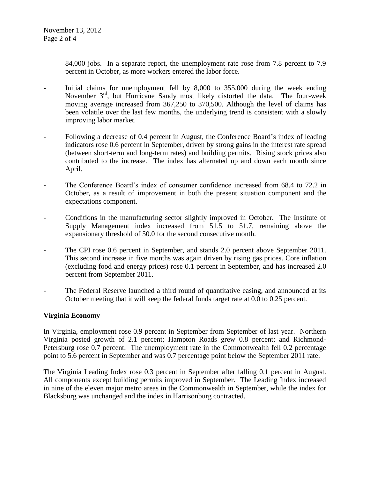84,000 jobs. In a separate report, the unemployment rate rose from 7.8 percent to 7.9 percent in October, as more workers entered the labor force.

- Initial claims for unemployment fell by 8,000 to 355,000 during the week ending November 3<sup>rd</sup>, but Hurricane Sandy most likely distorted the data. The four-week moving average increased from 367,250 to 370,500. Although the level of claims has been volatile over the last few months, the underlying trend is consistent with a slowly improving labor market.
- Following a decrease of 0.4 percent in August, the Conference Board's index of leading indicators rose 0.6 percent in September, driven by strong gains in the interest rate spread (between short-term and long-term rates) and building permits. Rising stock prices also contributed to the increase. The index has alternated up and down each month since April.
- The Conference Board's index of consumer confidence increased from 68.4 to 72.2 in October, as a result of improvement in both the present situation component and the expectations component.
- Conditions in the manufacturing sector slightly improved in October. The Institute of Supply Management index increased from 51.5 to 51.7, remaining above the expansionary threshold of 50.0 for the second consecutive month.
- The CPI rose 0.6 percent in September, and stands 2.0 percent above September 2011. This second increase in five months was again driven by rising gas prices. Core inflation (excluding food and energy prices) rose 0.1 percent in September, and has increased 2.0 percent from September 2011.
- The Federal Reserve launched a third round of quantitative easing, and announced at its October meeting that it will keep the federal funds target rate at 0.0 to 0.25 percent.

## **Virginia Economy**

In Virginia, employment rose 0.9 percent in September from September of last year. Northern Virginia posted growth of 2.1 percent; Hampton Roads grew 0.8 percent; and Richmond-Petersburg rose 0.7 percent. The unemployment rate in the Commonwealth fell 0.2 percentage point to 5.6 percent in September and was 0.7 percentage point below the September 2011 rate.

The Virginia Leading Index rose 0.3 percent in September after falling 0.1 percent in August. All components except building permits improved in September. The Leading Index increased in nine of the eleven major metro areas in the Commonwealth in September, while the index for Blacksburg was unchanged and the index in Harrisonburg contracted.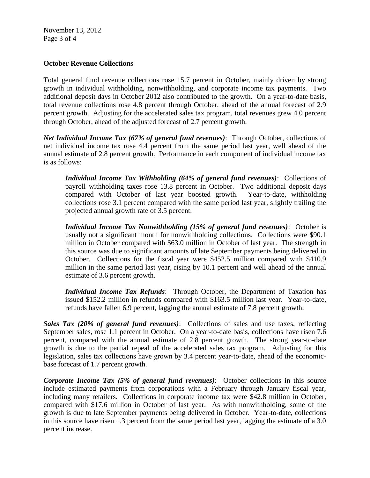November 13, 2012 Page 3 of 4

#### **October Revenue Collections**

Total general fund revenue collections rose 15.7 percent in October, mainly driven by strong growth in individual withholding, nonwithholding, and corporate income tax payments. Two additional deposit days in October 2012 also contributed to the growth. On a year-to-date basis, total revenue collections rose 4.8 percent through October, ahead of the annual forecast of 2.9 percent growth. Adjusting for the accelerated sales tax program, total revenues grew 4.0 percent through October, ahead of the adjusted forecast of 2.7 percent growth.

*Net Individual Income Tax (67% of general fund revenues)*: Through October, collections of net individual income tax rose 4.4 percent from the same period last year, well ahead of the annual estimate of 2.8 percent growth. Performance in each component of individual income tax is as follows:

*Individual Income Tax Withholding (64% of general fund revenues)*: Collections of payroll withholding taxes rose 13.8 percent in October. Two additional deposit days compared with October of last year boosted growth. Year-to-date, withholding collections rose 3.1 percent compared with the same period last year, slightly trailing the projected annual growth rate of 3.5 percent.

*Individual Income Tax Nonwithholding (15% of general fund revenues)*: October is usually not a significant month for nonwithholding collections. Collections were \$90.1 million in October compared with \$63.0 million in October of last year. The strength in this source was due to significant amounts of late September payments being delivered in October. Collections for the fiscal year were \$452.5 million compared with \$410.9 million in the same period last year, rising by 10.1 percent and well ahead of the annual estimate of 3.6 percent growth.

*Individual Income Tax Refunds*: Through October, the Department of Taxation has issued \$152.2 million in refunds compared with \$163.5 million last year. Year-to-date, refunds have fallen 6.9 percent, lagging the annual estimate of 7.8 percent growth.

*Sales Tax (20% of general fund revenues)*: Collections of sales and use taxes, reflecting September sales, rose 1.1 percent in October. On a year-to-date basis, collections have risen 7.6 percent, compared with the annual estimate of 2.8 percent growth. The strong year-to-date growth is due to the partial repeal of the accelerated sales tax program. Adjusting for this legislation, sales tax collections have grown by 3.4 percent year-to-date, ahead of the economicbase forecast of 1.7 percent growth.

*Corporate Income Tax (5% of general fund revenues)*: October collections in this source include estimated payments from corporations with a February through January fiscal year, including many retailers. Collections in corporate income tax were \$42.8 million in October, compared with \$17.6 million in October of last year. As with nonwithholding, some of the growth is due to late September payments being delivered in October. Year-to-date, collections in this source have risen 1.3 percent from the same period last year, lagging the estimate of a 3.0 percent increase.